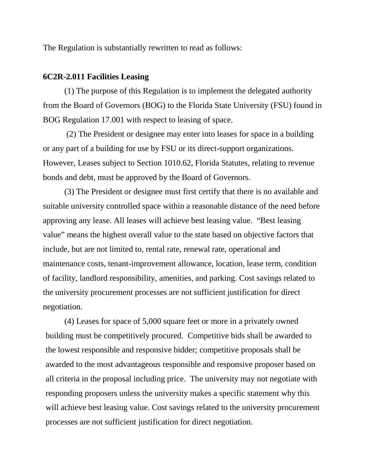The Regulation is substantially rewritten to read as follows:

## **6C2R-2.011 Facilities Leasing**

(1) The purpose of this Regulation is to implement the delegated authority from the Board of Governors (BOG) to the Florida State University (FSU) found in BOG Regulation 17.001 with respect to leasing of space.

(2) The President or designee may enter into leases for space in a building or any part of a building for use by FSU or its direct-support organizations. However, Leases subject to Section 1010.62, Florida Statutes, relating to revenue bonds and debt, must be approved by the Board of Governors.

(3) The President or designee must first certify that there is no available and suitable university controlled space within a reasonable distance of the need before approving any lease. All leases will achieve best leasing value. "Best leasing value" means the highest overall value to the state based on objective factors that include, but are not limited to, rental rate, renewal rate, operational and maintenance costs, tenant-improvement allowance, location, lease term, condition of facility, landlord responsibility, amenities, and parking. Cost savings related to the university procurement processes are not sufficient justification for direct negotiation.

(4) Leases for space of 5,000 square feet or more in a privately owned building must be competitively procured. Competitive bids shall be awarded to the lowest responsible and responsive bidder; competitive proposals shall be awarded to the most advantageous responsible and responsive proposer based on all criteria in the proposal including price. The university may not negotiate with responding proposers unless the university makes a specific statement why this will achieve best leasing value. Cost savings related to the university procurement processes are not sufficient justification for direct negotiation.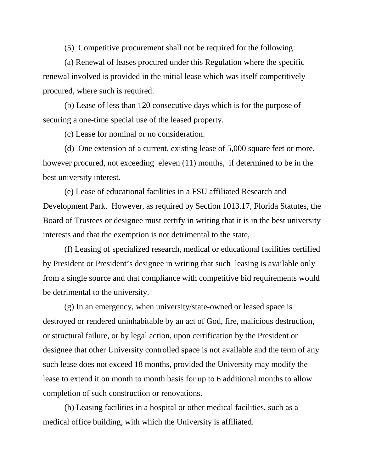(5) Competitive procurement shall not be required for the following:

(a) Renewal of leases procured under this Regulation where the specific renewal involved is provided in the initial lease which was itself competitively procured, where such is required.

(b) Lease of less than 120 consecutive days which is for the purpose of securing a one-time special use of the leased property.

(c) Lease for nominal or no consideration.

(d) One extension of a current, existing lease of 5,000 square feet or more, however procured, not exceeding eleven (11) months, if determined to be in the best university interest.

(e) Lease of educational facilities in a FSU affiliated Research and Development Park. However, as required by Section 1013.17, Florida Statutes, the Board of Trustees or designee must certify in writing that it is in the best university interests and that the exemption is not detrimental to the state,

(f) Leasing of specialized research, medical or educational facilities certified by President or President's designee in writing that such leasing is available only from a single source and that compliance with competitive bid requirements would be detrimental to the university.

(g) In an emergency, when university/state-owned or leased space is destroyed or rendered uninhabitable by an act of God, fire, malicious destruction, or structural failure, or by legal action, upon certification by the President or designee that other University controlled space is not available and the term of any such lease does not exceed 18 months, provided the University may modify the lease to extend it on month to month basis for up to 6 additional months to allow completion of such construction or renovations.

(h) Leasing facilities in a hospital or other medical facilities, such as a medical office building, with which the University is affiliated.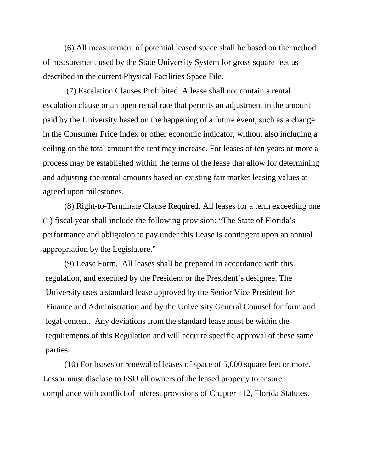(6) All measurement of potential leased space shall be based on the method of measurement used by the State University System for gross square feet as described in the current Physical Facilities Space File.

(7) Escalation Clauses Prohibited. A lease shall not contain a rental escalation clause or an open rental rate that permits an adjustment in the amount paid by the University based on the happening of a future event, such as a change in the Consumer Price Index or other economic indicator, without also including a ceiling on the total amount the rent may increase. For leases of ten years or more a process may be established within the terms of the lease that allow for determining and adjusting the rental amounts based on existing fair market leasing values at agreed upon milestones.

(8) Right-to-Terminate Clause Required. All leases for a term exceeding one (1) fiscal year shall include the following provision: "The State of Florida's performance and obligation to pay under this Lease is contingent upon an annual appropriation by the Legislature."

(9) Lease Form. All leases shall be prepared in accordance with this regulation, and executed by the President or the President's designee. The University uses a standard lease approved by the Senior Vice President for Finance and Administration and by the University General Counsel for form and legal content. Any deviations from the standard lease must be within the requirements of this Regulation and will acquire specific approval of these same parties.

(10) For leases or renewal of leases of space of 5,000 square feet or more, Lessor must disclose to FSU all owners of the leased property to ensure compliance with conflict of interest provisions of Chapter 112, Florida Statutes.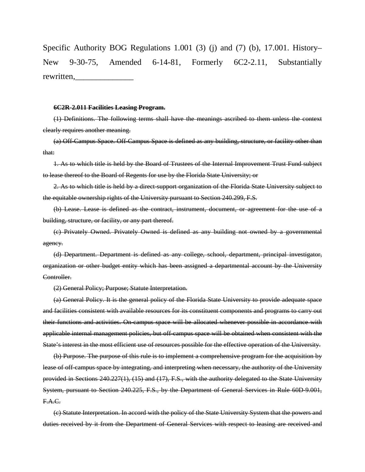Specific Authority BOG Regulations 1.001 (3) (j) and (7) (b), 17.001. History– New 9-30-75, Amended 6-14-81, Formerly 6C2-2.11, Substantially rewritten.

## **6C2R-2.011 Facilities Leasing Program.**

(1) Definitions. The following terms shall have the meanings ascribed to them unless the context clearly requires another meaning.

(a) Off-Campus Space. Off-Campus Space is defined as any building, structure, or facility other than that:

1. As to which title is held by the Board of Trustees of the Internal Improvement Trust Fund subject to lease thereof to the Board of Regents for use by the Florida State University; or

2. As to which title is held by a direct-support organization of the Florida State University subject to the equitable ownership rights of the University pursuant to Section 240.299, F.S.

(b) Lease. Lease is defined as the contract, instrument, document, or agreement for the use of a building, structure, or facility, or any part thereof.

(c) Privately Owned. Privately Owned is defined as any building not owned by a governmental agency.

(d) Department. Department is defined as any college, school, department, principal investigator, organization or other budget entity which has been assigned a departmental account by the University Controller.

(2) General Policy; Purpose; Statute Interpretation.

(a) General Policy. It is the general policy of the Florida State University to provide adequate space and facilities consistent with available resources for its constituent components and programs to carry out their functions and activities. On-campus space will be allocated whenever possible in accordance with applicable internal management policies, but off-campus space will be obtained when consistent with the State's interest in the most efficient use of resources possible for the effective operation of the University.

(b) Purpose. The purpose of this rule is to implement a comprehensive program for the acquisition by lease of off-campus space by integrating, and interpreting when necessary, the authority of the University provided in Sections 240.227(1), (15) and (17), F.S., with the authority delegated to the State University System, pursuant to Section 240.225, F.S., by the Department of General Services in Rule 60D-9.001, F.A.C.

(c) Statute Interpretation. In accord with the policy of the State University System that the powers and duties received by it from the Department of General Services with respect to leasing are received and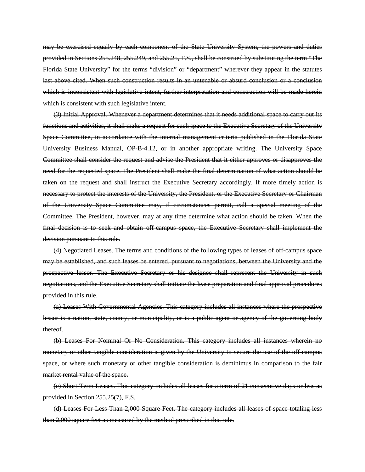may be exercised equally by each component of the State University System, the powers and duties provided in Sections 255.248, 255.249, and 255.25, F.S., shall be construed by substituting the term "The Florida State University" for the terms "division" or "department" wherever they appear in the statutes last above cited. When such construction results in an untenable or absurd conclusion or a conclusion which is inconsistent with legislative intent, further interpretation and construction will be made herein which is consistent with such legislative intent.

(3) Initial Approval. Whenever a department determines that it needs additional space to carry out its functions and activities, it shall make a request for such space to the Executive Secretary of the University Space Committee, in accordance with the internal management criteria published in the Florida State University Business Manual, OP-B-4.12, or in another appropriate writing. The University Space Committee shall consider the request and advise the President that it either approves or disapproves the need for the requested space. The President shall make the final determination of what action should be taken on the request and shall instruct the Executive Secretary accordingly. If more timely action is necessary to protect the interests of the University, the President, or the Executive Secretary or Chairman of the University Space Committee may, if circumstances permit, call a special meeting of the Committee. The President, however, may at any time determine what action should be taken. When the final decision is to seek and obtain off-campus space, the Executive Secretary shall implement the decision pursuant to this rule.

(4) Negotiated Leases. The terms and conditions of the following types of leases of off-campus space may be established, and such leases be entered, pursuant to negotiations, between the University and the prospective lessor. The Executive Secretary or his designee shall represent the University in such negotiations, and the Executive Secretary shall initiate the lease preparation and final approval procedures provided in this rule.

(a) Leases With Governmental Agencies. This category includes all instances where the prospective lessor is a nation, state, county, or municipality, or is a public agent or agency of the governing body thereof.

(b) Leases For Nominal Or No Consideration. This category includes all instances wherein no monetary or other tangible consideration is given by the University to secure the use of the off-campus space, or where such monetary or other tangible consideration is deminimus in comparison to the fair market rental value of the space.

(c) Short-Term Leases. This category includes all leases for a term of 21 consecutive days or less as provided in Section 255.25(7), F.S.

(d) Leases For Less Than 2,000 Square Feet. The category includes all leases of space totaling less than 2,000 square feet as measured by the method prescribed in this rule.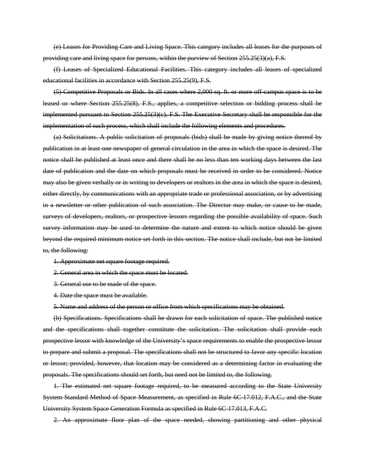(e) Leases for Providing Care and Living Space. This category includes all leases for the purposes of providing care and living space for persons, within the purview of Section 255.25(3)(a), F.S.

(f) Leases of Specialized Educational Facilities. This category includes all leases of specialized educational facilities in accordance with Section 255.25(9), F.S.

(5) Competitive Proposals or Bids. In all cases where 2,000 sq. ft. or more off-campus space is to be leased or where Section 255.25(8), F.S., applies, a competitive selection or bidding process shall be implemented pursuant to Section 255.25(3)(c), F.S. The Executive Secretary shall be responsible for the implementation of such process, which shall include the following elements and procedures.

(a) Solicitations. A public solicitation of proposals (bids) shall be made by giving notice thereof by publication in at least one newspaper of general circulation in the area in which the space is desired. The notice shall be published at least once and there shall be no less than ten working days between the last date of publication and the date on which proposals must be received in order to be considered. Notice may also be given verbally or in writing to developers or realtors in the area in which the space is desired, either directly, by communications with an appropriate trade or professional association, or by advertising in a newsletter or other publication of such association. The Director may make, or cause to be made, surveys of developers, realtors, or prospective lessors regarding the possible availability of space. Such survey information may be used to determine the nature and extent to which notice should be given beyond the required minimum notice set forth in this section. The notice shall include, but not be limited to, the following:

1. Approximate net square footage required.

2. General area in which the space must be located.

3. General use to be made of the space.

4. Date the space must be available.

5. Name and address of the person or office from which specifications may be obtained.

(b) Specifications. Specifications shall be drawn for each solicitation of space. The published notice and the specifications shall together constitute the solicitation. The solicitation shall provide each prospective lessor with knowledge of the University's space requirements to enable the prospective lessor to prepare and submit a proposal. The specifications shall not be structured to favor any specific location or lessor; provided, however, that location may be considered as a determining factor in evaluating the proposals. The specifications should set forth, but need not be limited to, the following.

1. The estimated net square footage required, to be measured according to the State University System Standard Method of Space Measurement, as specified in Rule 6C-17.012, F.A.C., and the State University System Space Generation Formula as specified in Rule 6C-17.013, F.A.C.

2. An approximate floor plan of the space needed, showing partitioning and other physical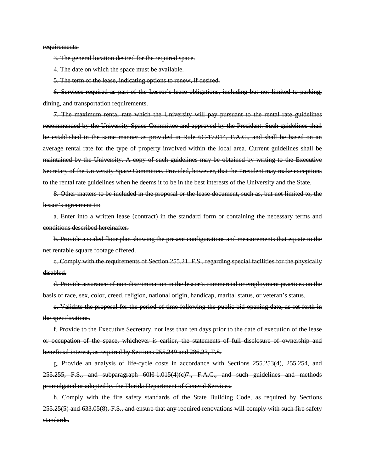requirements.

3. The general location desired for the required space.

4. The date on which the space must be available.

5. The term of the lease, indicating options to renew, if desired.

6. Services required as part of the Lessor's lease obligations, including but not limited to parking, dining, and transportation requirements.

7. The maximum rental rate which the University will pay pursuant to the rental rate guidelines recommended by the University Space Committee and approved by the President. Such guidelines shall be established in the same manner as provided in Rule 6C-17.014, F.A.C., and shall be based on an average rental rate for the type of property involved within the local area. Current guidelines shall be maintained by the University. A copy of such guidelines may be obtained by writing to the Executive Secretary of the University Space Committee. Provided, however, that the President may make exceptions to the rental rate guidelines when he deems it to be in the best interests of the University and the State.

8. Other matters to be included in the proposal or the lease document, such as, but not limited to, the lessor's agreement to:

a. Enter into a written lease (contract) in the standard form or containing the necessary terms and conditions described hereinafter.

b. Provide a scaled floor plan showing the present configurations and measurements that equate to the net rentable square footage offered.

c. Comply with the requirements of Section 255.21, F.S., regarding special facilities for the physically disabled.

d. Provide assurance of non-discrimination in the lessor's commercial or employment practices on the basis of race, sex, color, creed, religion, national origin, handicap, marital status, or veteran's status.

e. Validate the proposal for the period of time following the public bid opening date, as set forth in the specifications.

f. Provide to the Executive Secretary, not less than ten days prior to the date of execution of the lease or occupation of the space, whichever is earlier, the statements of full disclosure of ownership and beneficial interest, as required by Sections 255.249 and 286.23, F.S.

g. Provide an analysis of life-cycle costs in accordance with Sections 255.253(4), 255.254, and  $255.255$ , F.S., and subparagraph  $60H-1.015(4)(e)7$ ., F.A.C., and such guidelines and methods promulgated or adopted by the Florida Department of General Services.

h. Comply with the fire safety standards of the State Building Code, as required by Sections 255.25(5) and 633.05(8), F.S., and ensure that any required renovations will comply with such fire safety standards.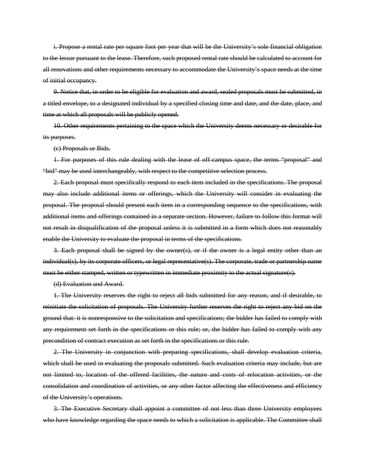i. Propose a rental rate per square foot per year that will be the University's sole financial obligation to the lessor pursuant to the lease. Therefore, such proposed rental rate should be calculated to account for all renovations and other requirements necessary to accommodate the University's space needs at the time of initial occupancy.

9. Notice that, in order to be eligible for evaluation and award, sealed proposals must be submitted, in a titled envelope, to a designated individual by a specified closing time and date, and the date, place, and time at which all proposals will be publicly opened.

10. Other requirements pertaining to the space which the University deems necessary or desirable for its purposes.

(c) Proposals or Bids.

1. For purposes of this rule dealing with the lease of off-campus space, the terms "proposal" and "bid" may be used interchangeably, with respect to the competitive selection process.

2. Each proposal must specifically respond to each item included in the specifications. The proposal may also include additional items or offerings, which the University will consider in evaluating the proposal. The proposal should present each item in a corresponding sequence to the specifications, with additional items and offerings contained in a separate section. However, failure to follow this format will not result in disqualification of the proposal unless it is submitted in a form which does not reasonably enable the University to evaluate the proposal in terms of the specifications.

3. Each proposal shall be signed by the owner(s), or if the owner is a legal entity other than an individual(s), by its corporate officers, or legal representative(s). The corporate, trade or partnership name must be either stamped, written or typewritten in immediate proximity to the actual signature(s).

(d) Evaluation and Award.

1. The University reserves the right to reject all bids submitted for any reason, and if desirable, to reinitiate the solicitation of proposals. The University further reserves the right to reject any bid on the ground that: it is nonresponsive to the solicitation and specifications; the bidder has failed to comply with any requirement set forth in the specifications or this rule; or, the bidder has failed to comply with any precondition of contract execution as set forth in the specifications or this rule.

2. The University in conjunction with preparing specifications, shall develop evaluation criteria, which shall be used in evaluating the proposals submitted. Such evaluation criteria may include, but are not limited to, location of the offered facilities, the nature and costs of relocation activities, or the consolidation and coordination of activities, or any other factor affecting the effectiveness and efficiency of the University's operations.

3. The Executive Secretary shall appoint a committee of not less than three University employees who have knowledge regarding the space needs to which a solicitation is applicable. The Committee shall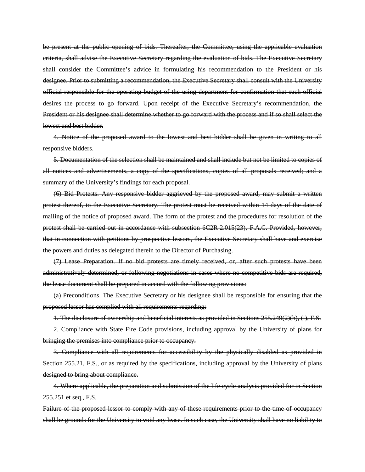be present at the public opening of bids. Thereafter, the Committee, using the applicable evaluation criteria, shall advise the Executive Secretary regarding the evaluation of bids. The Executive Secretary shall consider the Committee's advice in formulating his recommendation to the President or his designee. Prior to submitting a recommendation, the Executive Secretary shall consult with the University official responsible for the operating budget of the using department for confirmation that such official desires the process to go forward. Upon receipt of the Executive Secretary's recommendation, the President or his designee shall determine whether to go forward with the process and if so shall select the lowest and best bidder.

4. Notice of the proposed award to the lowest and best bidder shall be given in writing to all responsive bidders.

5. Documentation of the selection shall be maintained and shall include but not be limited to copies of all notices and advertisements, a copy of the specifications, copies of all proposals received; and a summary of the University's findings for each proposal.

(6) Bid Protests. Any responsive bidder aggrieved by the proposed award, may submit a written protest thereof, to the Executive Secretary. The protest must be received within 14 days of the date of mailing of the notice of proposed award. The form of the protest and the procedures for resolution of the protest shall be carried out in accordance with subsection 6C2R-2.015(23), F.A.C. Provided, however, that in connection with petitions by prospective lessors, the Executive Secretary shall have and exercise the powers and duties as delegated therein to the Director of Purchasing.

(7) Lease Preparation. If no bid protests are timely received, or, after such protests have been administratively determined, or following negotiations in cases where no competitive bids are required, the lease document shall be prepared in accord with the following provisions:

(a) Preconditions. The Executive Secretary or his designee shall be responsible for ensuring that the proposed lessor has complied with all requirements regarding:

1. The disclosure of ownership and beneficial interests as provided in Sections 255.249(2)(h), (i), F.S.

2. Compliance with State Fire Code provisions, including approval by the University of plans for bringing the premises into compliance prior to occupancy.

3. Compliance with all requirements for accessibility by the physically disabled as provided in Section 255.21, F.S., or as required by the specifications, including approval by the University of plans designed to bring about compliance.

4. Where applicable, the preparation and submission of the life-cycle analysis provided for in Section 255.251 et seq., F.S.

Failure of the proposed lessor to comply with any of these requirements prior to the time of occupancy shall be grounds for the University to void any lease. In such case, the University shall have no liability to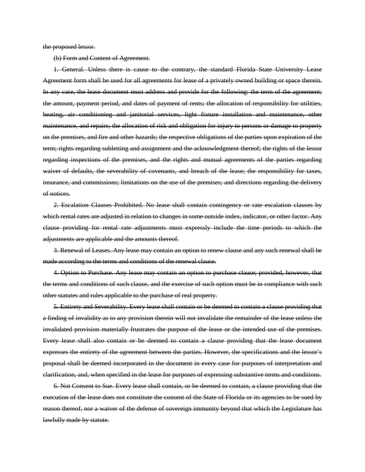the proposed lessor.

(b) Form and Content of Agreement.

1. General. Unless there is cause to the contrary, the standard Florida State University Lease Agreement form shall be used for all agreements for lease of a privately owned building or space therein. In any case, the lease document must address and provide for the following: the term of the agreement; the amount, payment period, and dates of payment of rents; the allocation of responsibility for utilities, heating, air conditioning and janitorial services, light fixture installation and maintenance, other maintenance, and repairs; the allocation of risk and obligation for injury to persons or damage to property on the premises, and fire and other hazards; the respective obligations of the parties upon expiration of the term; rights regarding subletting and assignment and the acknowledgment thereof; the rights of the lessor regarding inspections of the premises, and the rights and mutual agreements of the parties regarding waiver of defaults, the severability of covenants, and breach of the lease; the responsibility for taxes, insurance, and commissions; limitations on the use of the premises; and directions regarding the delivery of notices.

2. Escalation Clauses Prohibited. No lease shall contain contingency or rate escalation clauses by which rental rates are adjusted in relation to changes in some outside index, indicator, or other factor. Any clause providing for rental rate adjustments must expressly include the time periods to which the adjustments are applicable and the amounts thereof.

3. Renewal of Leases. Any lease may contain an option to renew clause and any such renewal shall be made according to the terms and conditions of the renewal clause.

4. Option to Purchase. Any lease may contain an option to purchase clause; provided, however, that the terms and conditions of such clause, and the exercise of such option must be in compliance with such other statutes and rules applicable to the purchase of real property.

5. Entirety and Severability. Every lease shall contain or be deemed to contain a clause providing that a finding of invalidity as to any provision therein will not invalidate the remainder of the lease unless the invalidated provision materially frustrates the purpose of the lease or the intended use of the premises. Every lease shall also contain or be deemed to contain a clause providing that the lease document expresses the entirety of the agreement between the parties. However, the specifications and the lessor's proposal shall be deemed incorporated in the document in every case for purposes of interpretation and clarification, and, when specified in the lease for purposes of expressing substantive terms and conditions.

6. Not Consent to Sue. Every lease shall contain, or be deemed to contain, a clause providing that the execution of the lease does not constitute the consent of the State of Florida or its agencies to be sued by reason thereof, nor a waiver of the defense of sovereign immunity beyond that which the Legislature has lawfully made by statute.